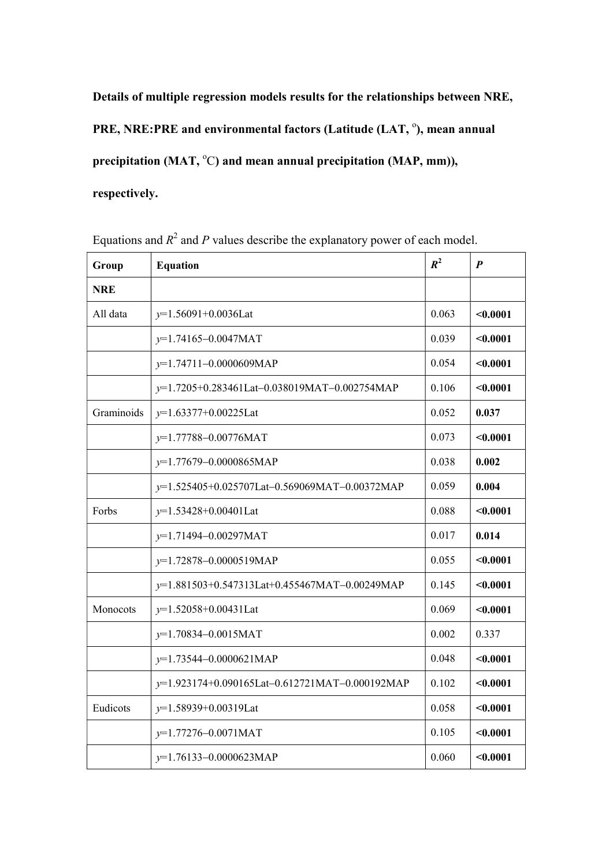Details of multiple regression models results for the relationships between NRE,

PRE, NRE:PRE and environmental factors (Latitude (LAT, °), mean annual

precipitation (MAT,  $^{\circ}$ C) and mean annual precipitation (MAP, mm)),

respectively.

| Group      | <b>Equation</b>                                | $R^2$ | $\boldsymbol{p}$ |
|------------|------------------------------------------------|-------|------------------|
| <b>NRE</b> |                                                |       |                  |
| All data   | $y=1.56091+0.0036$ Lat                         | 0.063 | $0.0001$         |
|            | $y=1.74165-0.0047$ MAT                         | 0.039 | $0.0001$         |
|            | $y=1.74711-0.0000609MAP$                       | 0.054 | $0.0001$         |
|            | y=1.7205+0.283461Lat-0.038019MAT-0.002754MAP   | 0.106 | < 0.0001         |
| Graminoids | $y=1.63377+0.00225$ Lat                        | 0.052 | 0.037            |
|            | $y=1.77788-0.00776$ MAT                        | 0.073 | $0.0001$         |
|            | $y=1.77679-0.0000865MAP$                       | 0.038 | 0.002            |
|            | y=1.525405+0.025707Lat-0.569069MAT-0.00372MAP  | 0.059 | 0.004            |
| Forbs      | $y=1.53428+0.00401$ Lat                        | 0.088 | $0.0001$         |
|            | $y=1.71494-0.00297$ MAT                        | 0.017 | 0.014            |
|            | y=1.72878-0.0000519MAP                         | 0.055 | $0.0001$         |
|            | y=1.881503+0.547313Lat+0.455467MAT-0.00249MAP  | 0.145 | $0.0001$         |
| Monocots   | $y=1.52058+0.00431$ Lat                        | 0.069 | $0.0001$         |
|            | $y=1.70834-0.0015$ MAT                         | 0.002 | 0.337            |
|            | $y=1.73544-0.0000621MAP$                       | 0.048 | $0.0001$         |
|            | y=1.923174+0.090165Lat-0.612721MAT-0.000192MAP | 0.102 | $0.0001$         |
| Eudicots   | y=1.58939+0.00319Lat                           | 0.058 | < 0.0001         |
|            | $y=1.77276-0.0071$ MAT                         | 0.105 | $0.0001$         |
|            | $y=1.76133-0.0000623MAP$                       | 0.060 | $0.0001$         |

Equations and  $R^2$  and P values describe the explanatory power of each model.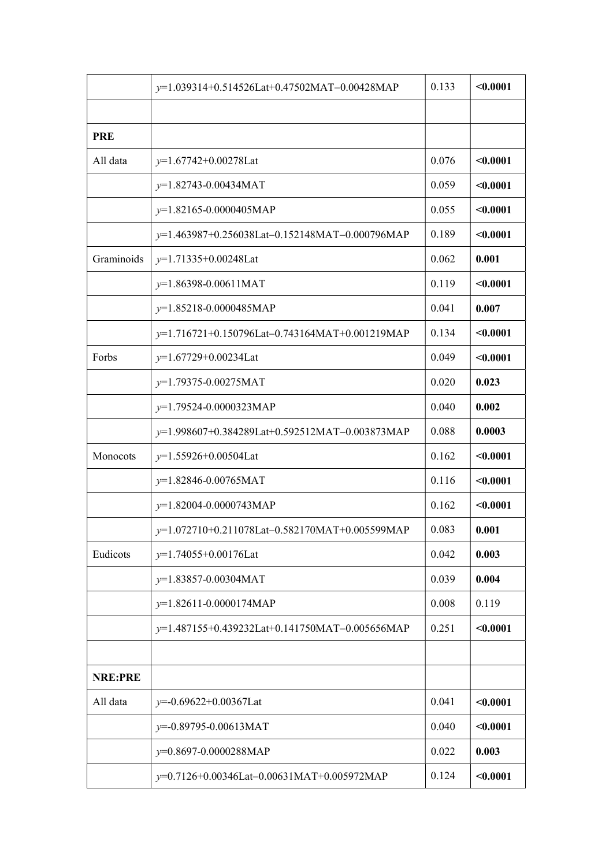|            | y=1.039314+0.514526Lat+0.47502MAT-0.00428MAP   | 0.133 | $0.0001$ |
|------------|------------------------------------------------|-------|----------|
|            |                                                |       |          |
| <b>PRE</b> |                                                |       |          |
| All data   | $y=1.67742+0.00278$ Lat                        | 0.076 | $0.0001$ |
|            | $y=1.82743 - 0.00434 MAT$                      | 0.059 | < 0.0001 |
|            | $y=1.82165-0.0000405MAP$                       | 0.055 | $0.0001$ |
|            | y=1.463987+0.256038Lat-0.152148MAT-0.000796MAP | 0.189 | $0.0001$ |
| Graminoids | $y=1.71335+0.00248$ Lat                        | 0.062 | 0.001    |
|            | $y=1.86398-0.00611$ MAT                        | 0.119 | < 0.0001 |
|            | $y=1.85218-0.0000485MAP$                       | 0.041 | 0.007    |
|            | y=1.716721+0.150796Lat-0.743164MAT+0.001219MAP | 0.134 | $0.0001$ |
| Forbs      | $y=1.67729+0.00234$ Lat                        | 0.049 | $0.0001$ |
|            | $y=1.79375-0.00275MAT$                         | 0.020 | 0.023    |
|            | $y=1.79524-0.0000323MAP$                       | 0.040 | 0.002    |
|            | y=1.998607+0.384289Lat+0.592512MAT-0.003873MAP | 0.088 | 0.0003   |
| Monocots   | $y=1.55926+0.00504$ Lat                        | 0.162 | $0.0001$ |
|            | $y=1.82846-0.00765$ MAT                        | 0.116 | $0.0001$ |
|            | $y=1.82004-0.0000743MAP$                       | 0.162 | $0.0001$ |
|            | y=1.072710+0.211078Lat-0.582170MAT+0.005599MAP | 0.083 | 0.001    |
| Eudicots   | $y=1.74055+0.00176$ Lat                        | 0.042 | 0.003    |
|            | $y=1.83857-0.00304MAT$                         | 0.039 | 0.004    |
|            | $y=1.82611-0.0000174MAP$                       | 0.008 | 0.119    |
|            | y=1.487155+0.439232Lat+0.141750MAT-0.005656MAP | 0.251 | $0.0001$ |
|            |                                                |       |          |
| NRE:PRE    |                                                |       |          |
| All data   | $y=0.69622+0.00367$ Lat                        | 0.041 | $0.0001$ |
|            | $y=0.89795-0.00613\text{MAT}$                  | 0.040 | $0.0001$ |
|            | $y=0.8697-0.0000288MAP$                        | 0.022 | 0.003    |
|            | y=0.7126+0.00346Lat-0.00631MAT+0.005972MAP     | 0.124 | $0.0001$ |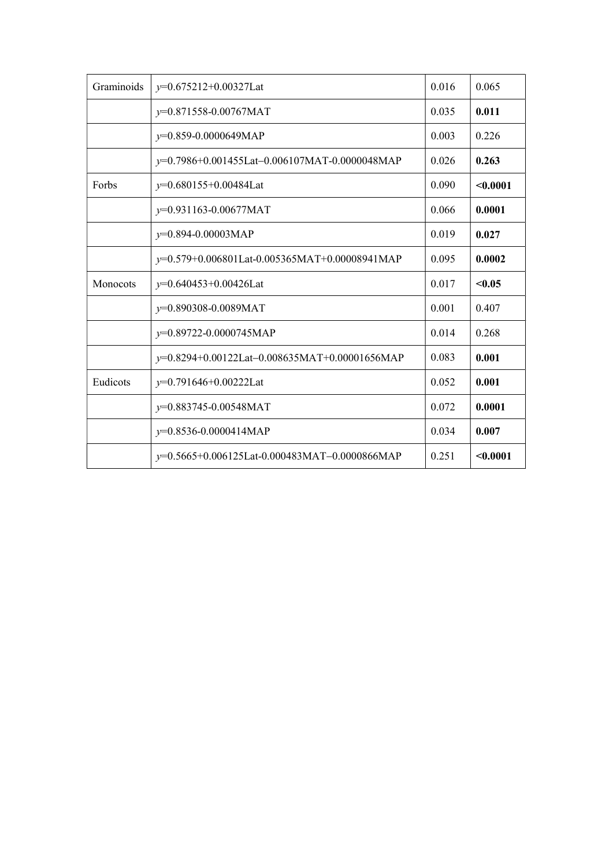| Graminoids | y=0.675212+0.00327Lat                            | 0.016 | 0.065    |
|------------|--------------------------------------------------|-------|----------|
|            | $y=0.871558-0.00767MAT$                          | 0.035 | 0.011    |
|            | $y=0.859-0.0000649MAP$                           | 0.003 | 0.226    |
|            | y=0.7986+0.001455Lat-0.006107MAT-0.0000048MAP    | 0.026 | 0.263    |
| Forbs      | $v=0.680155+0.00484$ Lat                         | 0.090 | $0.0001$ |
|            | $y=0.931163-0.00677MAT$                          | 0.066 | 0.0001   |
|            | $y=0.894-0.00003MAP$                             | 0.019 | 0.027    |
|            | $y=0.579+0.006801$ Lat-0.005365MAT+0.00008941MAP | 0.095 | 0.0002   |
| Monocots   | $y=0.640453+0.00426$ Lat                         | 0.017 | < 0.05   |
|            | $y=0.890308-0.0089MAT$                           | 0.001 | 0.407    |
|            | $y=0.89722 - 0.0000745 \text{MAP}$               | 0.014 | 0.268    |
|            | y=0.8294+0.00122Lat-0.008635MAT+0.00001656MAP    | 0.083 | 0.001    |
| Eudicots   | $y=0.791646+0.00222$ Lat                         | 0.052 | 0.001    |
|            | $y=0.883745-0.00548\text{MAT}$                   | 0.072 | 0.0001   |
|            | $y=0.8536-0.0000414MAP$                          | 0.034 | 0.007    |
|            | $y=0.5665+0.006125$ Lat-0.000483MAT-0.0000866MAP | 0.251 | $0.0001$ |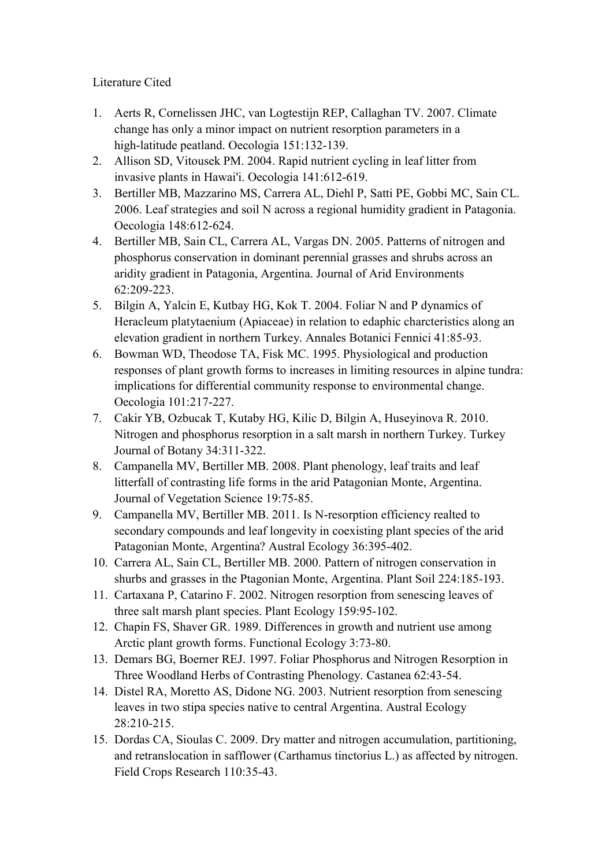## Literature Cited

- 1. Aerts R, Cornelissen JHC, van Logtestijn REP, Callaghan TV. 2007. Climate change has only a minor impact on nutrient resorption parameters in a high-latitude peatland. Oecologia 151:132-139.
- 2. Allison SD, Vitousek PM. 2004. Rapid nutrient cycling in leaf litter from invasive plants in Hawai'i. Oecologia 141:612-619.
- 3. Bertiller MB, Mazzarino MS, Carrera AL, Diehl P, Satti PE, Gobbi MC, Sain CL. 2006. Leaf strategies and soil N across a regional humidity gradient in Patagonia. Oecologia 148:612-624.
- 4. Bertiller MB, Sain CL, Carrera AL, Vargas DN. 2005. Patterns of nitrogen and phosphorus conservation in dominant perennial grasses and shrubs across an aridity gradient in Patagonia, Argentina. Journal of Arid Environments 62:209-223.
- 5. Bilgin A, Yalcin E, Kutbay HG, Kok T. 2004. Foliar N and P dynamics of Heracleum platytaenium (Apiaceae) in relation to edaphic charcteristics along an elevation gradient in northern Turkey. Annales Botanici Fennici 41:85-93.
- 6. Bowman WD, Theodose TA, Fisk MC. 1995. Physiological and production responses of plant growth forms to increases in limiting resources in alpine tundra: implications for differential community response to environmental change. Oecologia 101:217-227.
- 7. Cakir YB, Ozbucak T, Kutaby HG, Kilic D, Bilgin A, Huseyinova R. 2010. Nitrogen and phosphorus resorption in a salt marsh in northern Turkey. Turkey Journal of Botany 34:311-322.
- 8. Campanella MV, Bertiller MB. 2008. Plant phenology, leaf traits and leaf litterfall of contrasting life forms in the arid Patagonian Monte, Argentina. Journal of Vegetation Science 19:75-85.
- 9. Campanella MV, Bertiller MB. 2011. Is N-resorption efficiency realted to secondary compounds and leaf longevity in coexisting plant species of the arid Patagonian Monte, Argentina? Austral Ecology 36:395-402.
- 10. Carrera AL, Sain CL, Bertiller MB. 2000. Pattern of nitrogen conservation in shurbs and grasses in the Ptagonian Monte, Argentina. Plant Soil 224:185-193.
- 11. Cartaxana P, Catarino F. 2002. Nitrogen resorption from senescing leaves of three salt marsh plant species. Plant Ecology 159:95-102.
- 12. Chapin FS, Shaver GR. 1989. Differences in growth and nutrient use among Arctic plant growth forms. Functional Ecology 3:73-80.
- 13. Demars BG, Boerner REJ. 1997. Foliar Phosphorus and Nitrogen Resorption in Three Woodland Herbs of Contrasting Phenology. Castanea 62:43-54.
- 14. Distel RA, Moretto AS, Didone NG. 2003. Nutrient resorption from senescing leaves in two stipa species native to central Argentina. Austral Ecology 28:210-215.
- 15. Dordas CA, Sioulas C. 2009. Dry matter and nitrogen accumulation, partitioning, and retranslocation in safflower (Carthamus tinctorius L.) as affected by nitrogen. Field Crops Research 110:35-43.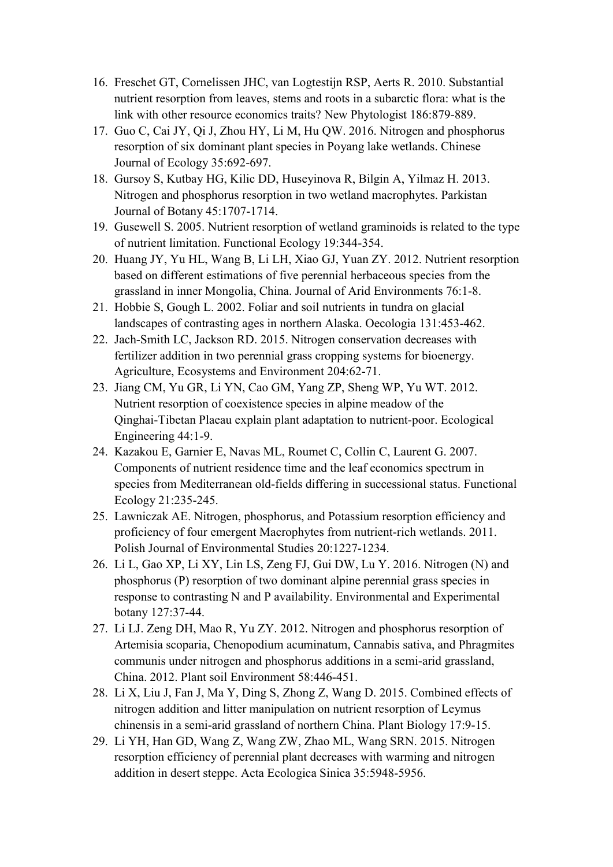- 16. Freschet GT, Cornelissen JHC, van Logtestijn RSP, Aerts R. 2010. Substantial nutrient resorption from leaves, stems and roots in a subarctic flora: what is the link with other resource economics traits? New Phytologist 186:879-889.
- 17. Guo C, Cai JY, Qi J, Zhou HY, Li M, Hu QW. 2016. Nitrogen and phosphorus resorption of six dominant plant species in Poyang lake wetlands. Chinese Journal of Ecology 35:692-697.
- 18. Gursoy S, Kutbay HG, Kilic DD, Huseyinova R, Bilgin A, Yilmaz H. 2013. Nitrogen and phosphorus resorption in two wetland macrophytes. Parkistan Journal of Botany 45:1707-1714.
- 19. Gusewell S. 2005. Nutrient resorption of wetland graminoids is related to the type of nutrient limitation. Functional Ecology 19:344-354.
- 20. Huang JY, Yu HL, Wang B, Li LH, Xiao GJ, Yuan ZY. 2012. Nutrient resorption based on different estimations of five perennial herbaceous species from the grassland in inner Mongolia, China. Journal of Arid Environments 76:1-8.
- 21. Hobbie S, Gough L. 2002. Foliar and soil nutrients in tundra on glacial landscapes of contrasting ages in northern Alaska. Oecologia 131:453-462.
- 22. Jach-Smith LC, Jackson RD. 2015. Nitrogen conservation decreases with fertilizer addition in two perennial grass cropping systems for bioenergy. Agriculture, Ecosystems and Environment 204:62-71.
- 23. Jiang CM, Yu GR, Li YN, Cao GM, Yang ZP, Sheng WP, Yu WT. 2012. Nutrient resorption of coexistence species in alpine meadow of the Qinghai-Tibetan Plaeau explain plant adaptation to nutrient-poor. Ecological Engineering 44:1-9.
- 24. Kazakou E, Garnier E, Navas ML, Roumet C, Collin C, Laurent G. 2007. Components of nutrient residence time and the leaf economics spectrum in species from Mediterranean old-fields differing in successional status. Functional Ecology 21:235-245.
- 25. Lawniczak AE. Nitrogen, phosphorus, and Potassium resorption efficiency and proficiency of four emergent Macrophytes from nutrient-rich wetlands. 2011. Polish Journal of Environmental Studies 20:1227-1234.
- 26. Li L, Gao XP, Li XY, Lin LS, Zeng FJ, Gui DW, Lu Y. 2016. Nitrogen (N) and phosphorus (P) resorption of two dominant alpine perennial grass species in response to contrasting N and P availability. Environmental and Experimental botany 127:37-44.
- 27. Li LJ. Zeng DH, Mao R, Yu ZY. 2012. Nitrogen and phosphorus resorption of Artemisia scoparia, Chenopodium acuminatum, Cannabis sativa, and Phragmites communis under nitrogen and phosphorus additions in a semi-arid grassland, China. 2012. Plant soil Environment 58:446-451.
- 28. Li X, Liu J, Fan J, Ma Y, Ding S, Zhong Z, Wang D. 2015. Combined effects of nitrogen addition and litter manipulation on nutrient resorption of Leymus chinensis in a semi-arid grassland of northern China. Plant Biology 17:9-15.
- 29. Li YH, Han GD, Wang Z, Wang ZW, Zhao ML, Wang SRN. 2015. Nitrogen resorption efficiency of perennial plant decreases with warming and nitrogen addition in desert steppe. Acta Ecologica Sinica 35:5948-5956.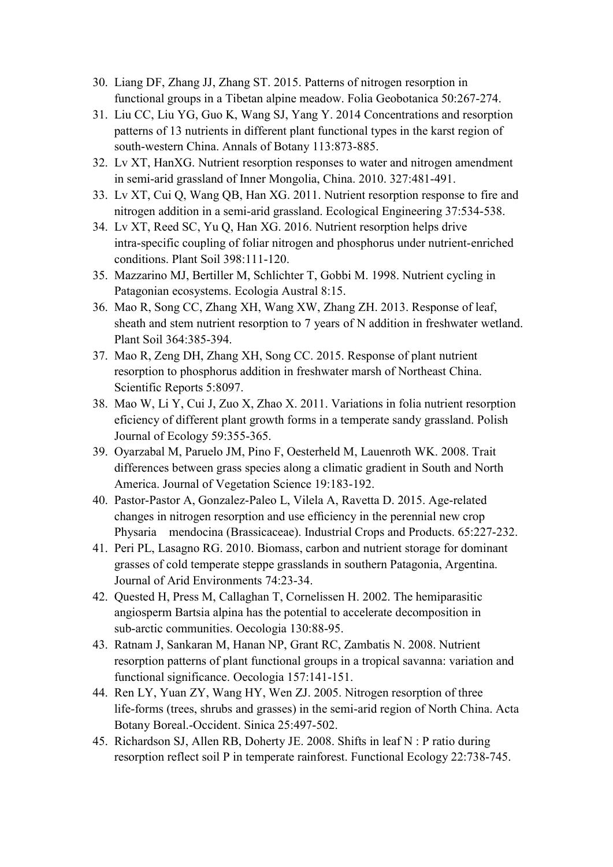- 30. Liang DF, Zhang JJ, Zhang ST. 2015. Patterns of nitrogen resorption in functional groups in a Tibetan alpine meadow. Folia Geobotanica 50:267-274.
- 31. Liu CC, Liu YG, Guo K, Wang SJ, Yang Y. 2014 Concentrations and resorption patterns of 13 nutrients in different plant functional types in the karst region of south-western China. Annals of Botany 113:873-885.
- 32. Lv XT, HanXG. Nutrient resorption responses to water and nitrogen amendment in semi-arid grassland of Inner Mongolia, China. 2010. 327:481-491.
- 33. Lv XT, Cui Q, Wang QB, Han XG. 2011. Nutrient resorption response to fire and nitrogen addition in a semi-arid grassland. Ecological Engineering 37:534-538.
- 34. Lv XT, Reed SC, Yu Q, Han XG. 2016. Nutrient resorption helps drive intra-specific coupling of foliar nitrogen and phosphorus under nutrient-enriched conditions. Plant Soil 398:111-120.
- 35. Mazzarino MJ, Bertiller M, Schlichter T, Gobbi M. 1998. Nutrient cycling in Patagonian ecosystems. Ecologia Austral 8:15.
- 36. Mao R, Song CC, Zhang XH, Wang XW, Zhang ZH. 2013. Response of leaf, sheath and stem nutrient resorption to 7 years of N addition in freshwater wetland. Plant Soil 364:385-394.
- 37. Mao R, Zeng DH, Zhang XH, Song CC. 2015. Response of plant nutrient resorption to phosphorus addition in freshwater marsh of Northeast China. Scientific Reports 5:8097.
- 38. Mao W, Li Y, Cui J, Zuo X, Zhao X. 2011. Variations in folia nutrient resorption eficiency of different plant growth forms in a temperate sandy grassland. Polish Journal of Ecology 59:355-365.
- 39. Oyarzabal M, Paruelo JM, Pino F, Oesterheld M, Lauenroth WK. 2008. Trait differences between grass species along a climatic gradient in South and North America. Journal of Vegetation Science 19:183-192.
- 40. Pastor-Pastor A, Gonzalez-Paleo L, Vilela A, Ravetta D. 2015. Age-related changes in nitrogen resorption and use efficiency in the perennial new crop Physaria mendocina (Brassicaceae). Industrial Crops and Products. 65:227-232.
- 41. Peri PL, Lasagno RG. 2010. Biomass, carbon and nutrient storage for dominant grasses of cold temperate steppe grasslands in southern Patagonia, Argentina. Journal of Arid Environments 74:23-34.
- 42. Quested H, Press M, Callaghan T, Cornelissen H. 2002. The hemiparasitic angiosperm Bartsia alpina has the potential to accelerate decomposition in sub-arctic communities. Oecologia 130:88-95.
- 43. Ratnam J, Sankaran M, Hanan NP, Grant RC, Zambatis N. 2008. Nutrient resorption patterns of plant functional groups in a tropical savanna: variation and functional significance. Oecologia 157:141-151.
- 44. Ren LY, Yuan ZY, Wang HY, Wen ZJ. 2005. Nitrogen resorption of three life-forms (trees, shrubs and grasses) in the semi-arid region of North China. Acta Botany Boreal.-Occident. Sinica 25:497-502.
- 45. Richardson SJ, Allen RB, Doherty JE. 2008. Shifts in leaf N : P ratio during resorption reflect soil P in temperate rainforest. Functional Ecology 22:738-745.